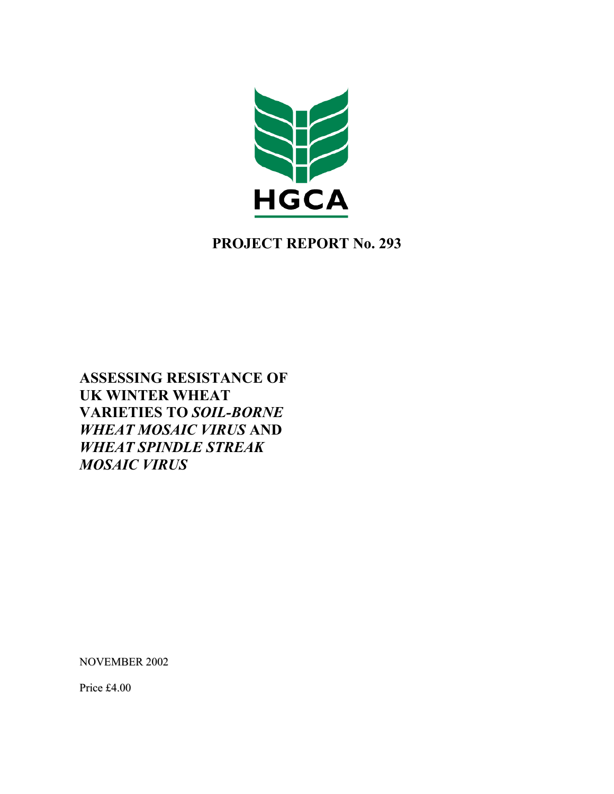

# **PROJECT REPORT No. 293**

**ASSESSING RESISTANCE OF UK WINTER WHEAT VARIETIES TO** *SOIL-BORNE WHEAT MOSAIC VIRUS* **AND**  *WHEAT SPINDLE STREAK MOSAIC VIRUS*

NOVEMBER 2002

Price £4.00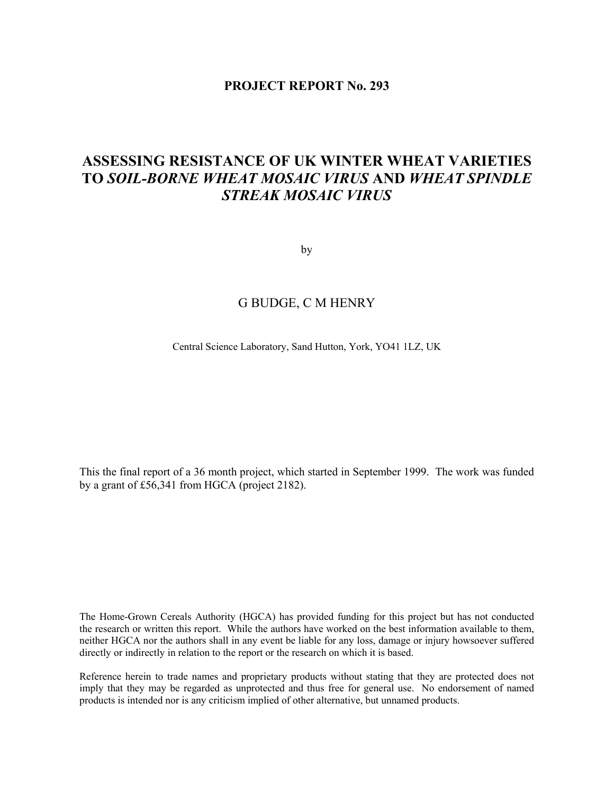## **PROJECT REPORT No. 293**

# **ASSESSING RESISTANCE OF UK WINTER WHEAT VARIETIES TO** *SOIL-BORNE WHEAT MOSAIC VIRUS* **AND** *WHEAT SPINDLE STREAK MOSAIC VIRUS*

by

# G BUDGE, C M HENRY

Central Science Laboratory, Sand Hutton, York, YO41 1LZ, UK

This the final report of a 36 month project, which started in September 1999. The work was funded by a grant of £56,341 from HGCA (project 2182).

The Home-Grown Cereals Authority (HGCA) has provided funding for this project but has not conducted the research or written this report. While the authors have worked on the best information available to them, neither HGCA nor the authors shall in any event be liable for any loss, damage or injury howsoever suffered directly or indirectly in relation to the report or the research on which it is based.

Reference herein to trade names and proprietary products without stating that they are protected does not imply that they may be regarded as unprotected and thus free for general use. No endorsement of named products is intended nor is any criticism implied of other alternative, but unnamed products.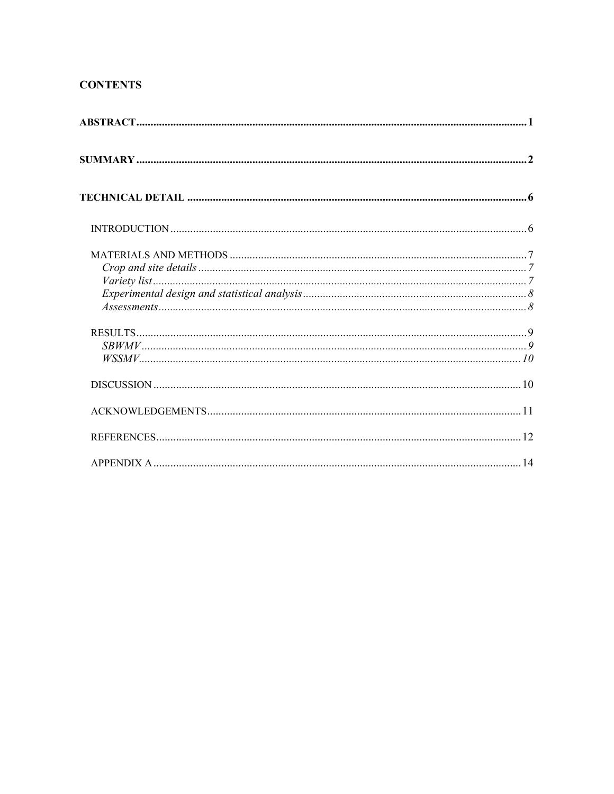# **CONTENTS**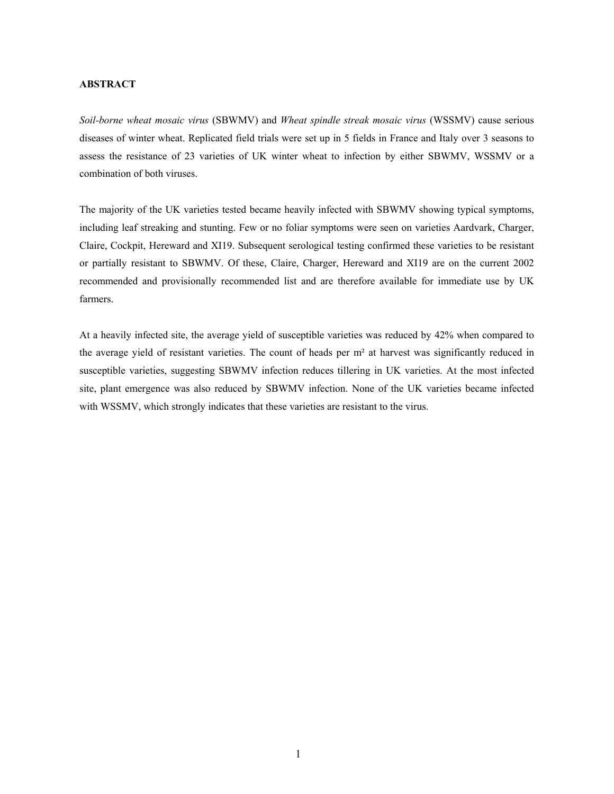## **ABSTRACT**

*Soil-borne wheat mosaic virus* (SBWMV) and *Wheat spindle streak mosaic virus* (WSSMV) cause serious diseases of winter wheat. Replicated field trials were set up in 5 fields in France and Italy over 3 seasons to assess the resistance of 23 varieties of UK winter wheat to infection by either SBWMV, WSSMV or a combination of both viruses.

The majority of the UK varieties tested became heavily infected with SBWMV showing typical symptoms, including leaf streaking and stunting. Few or no foliar symptoms were seen on varieties Aardvark, Charger, Claire, Cockpit, Hereward and XI19. Subsequent serological testing confirmed these varieties to be resistant or partially resistant to SBWMV. Of these, Claire, Charger, Hereward and XI19 are on the current 2002 recommended and provisionally recommended list and are therefore available for immediate use by UK farmers.

At a heavily infected site, the average yield of susceptible varieties was reduced by 42% when compared to the average yield of resistant varieties. The count of heads per m² at harvest was significantly reduced in susceptible varieties, suggesting SBWMV infection reduces tillering in UK varieties. At the most infected site, plant emergence was also reduced by SBWMV infection. None of the UK varieties became infected with WSSMV, which strongly indicates that these varieties are resistant to the virus.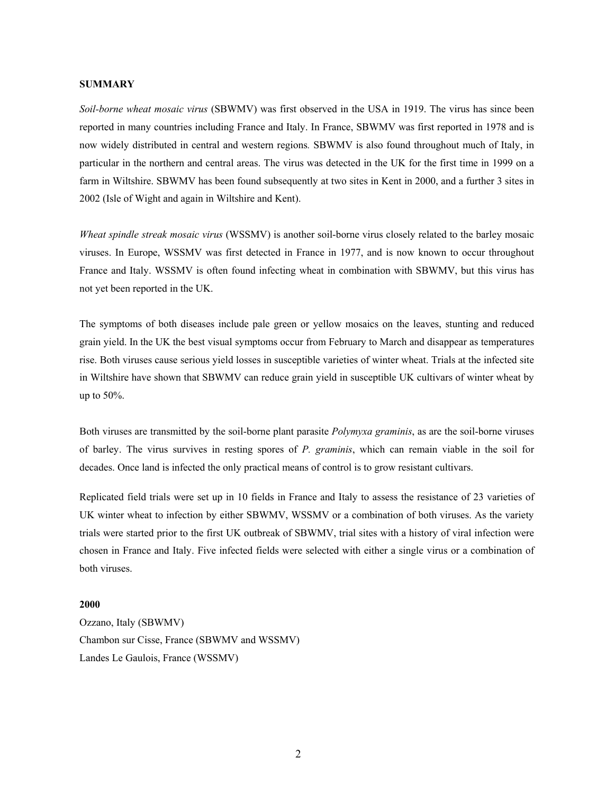### **SUMMARY**

*Soil-borne wheat mosaic virus* (SBWMV) was first observed in the USA in 1919. The virus has since been reported in many countries including France and Italy. In France, SBWMV was first reported in 1978 and is now widely distributed in central and western regions*.* SBWMV is also found throughout much of Italy, in particular in the northern and central areas. The virus was detected in the UK for the first time in 1999 on a farm in Wiltshire. SBWMV has been found subsequently at two sites in Kent in 2000, and a further 3 sites in 2002 (Isle of Wight and again in Wiltshire and Kent).

*Wheat spindle streak mosaic virus* (WSSMV) is another soil-borne virus closely related to the barley mosaic viruses. In Europe, WSSMV was first detected in France in 1977, and is now known to occur throughout France and Italy. WSSMV is often found infecting wheat in combination with SBWMV, but this virus has not yet been reported in the UK.

The symptoms of both diseases include pale green or yellow mosaics on the leaves, stunting and reduced grain yield. In the UK the best visual symptoms occur from February to March and disappear as temperatures rise. Both viruses cause serious yield losses in susceptible varieties of winter wheat. Trials at the infected site in Wiltshire have shown that SBWMV can reduce grain yield in susceptible UK cultivars of winter wheat by up to 50%.

Both viruses are transmitted by the soil-borne plant parasite *Polymyxa graminis*, as are the soil-borne viruses of barley. The virus survives in resting spores of *P. graminis*, which can remain viable in the soil for decades. Once land is infected the only practical means of control is to grow resistant cultivars.

Replicated field trials were set up in 10 fields in France and Italy to assess the resistance of 23 varieties of UK winter wheat to infection by either SBWMV, WSSMV or a combination of both viruses. As the variety trials were started prior to the first UK outbreak of SBWMV, trial sites with a history of viral infection were chosen in France and Italy. Five infected fields were selected with either a single virus or a combination of both viruses.

## **2000**

Ozzano, Italy (SBWMV) Chambon sur Cisse, France (SBWMV and WSSMV) Landes Le Gaulois, France (WSSMV)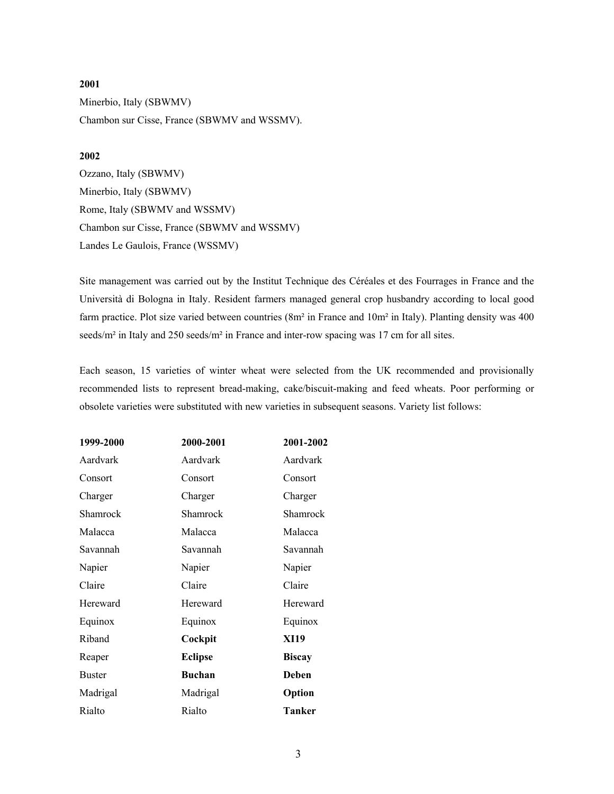# **2001**  Minerbio, Italy (SBWMV) Chambon sur Cisse, France (SBWMV and WSSMV).

## **2002**

Ozzano, Italy (SBWMV) Minerbio, Italy (SBWMV) Rome, Italy (SBWMV and WSSMV) Chambon sur Cisse, France (SBWMV and WSSMV) Landes Le Gaulois, France (WSSMV)

Site management was carried out by the Institut Technique des Céréales et des Fourrages in France and the Università di Bologna in Italy. Resident farmers managed general crop husbandry according to local good farm practice. Plot size varied between countries (8m² in France and 10m² in Italy). Planting density was 400 seeds/m<sup>2</sup> in Italy and 250 seeds/m<sup>2</sup> in France and inter-row spacing was 17 cm for all sites.

Each season, 15 varieties of winter wheat were selected from the UK recommended and provisionally recommended lists to represent bread-making, cake/biscuit-making and feed wheats. Poor performing or obsolete varieties were substituted with new varieties in subsequent seasons. Variety list follows:

| 1999-2000     | 2000-2001      | 2001-2002     |
|---------------|----------------|---------------|
| Aardvark      | Aardvark       | Aardvark      |
| Consort       | Consort        | Consort       |
| Charger       | Charger        | Charger       |
| Shamrock      | Shamrock       | Shamrock      |
| Malacca       | Malacca        | Malacca       |
| Savannah      | Savannah       | Savannah      |
| Napier        | Napier         | Napier        |
| Claire        | Claire         | Claire        |
| Hereward      | Hereward       | Hereward      |
| Equinox       | Equinox        | Equinox       |
| Riband        | Cockpit        | <b>XI19</b>   |
| Reaper        | <b>Eclipse</b> | <b>Biscay</b> |
| <b>Buster</b> | Buchan         | <b>Deben</b>  |
| Madrigal      | Madrigal       | Option        |
| Rialto        | Rialto         | Tanker        |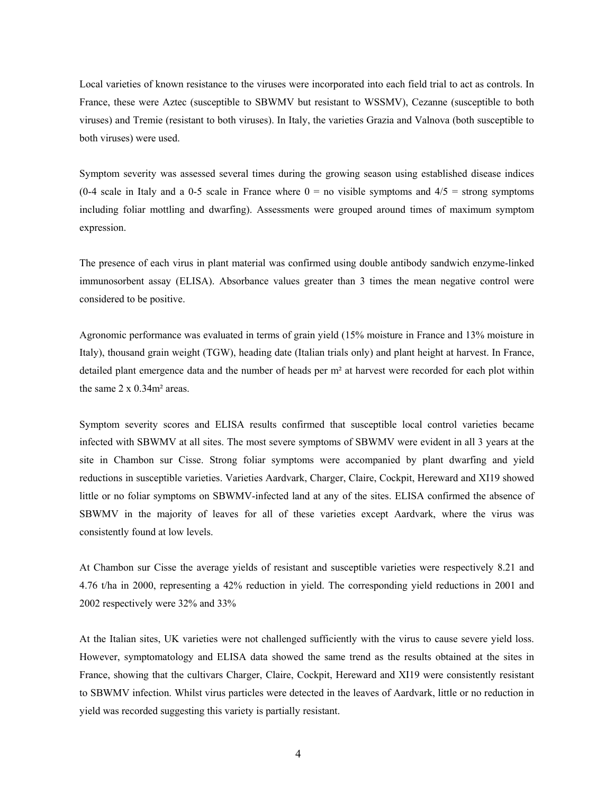Local varieties of known resistance to the viruses were incorporated into each field trial to act as controls. In France, these were Aztec (susceptible to SBWMV but resistant to WSSMV), Cezanne (susceptible to both viruses) and Tremie (resistant to both viruses). In Italy, the varieties Grazia and Valnova (both susceptible to both viruses) were used.

Symptom severity was assessed several times during the growing season using established disease indices (0-4 scale in Italy and a 0-5 scale in France where  $0 =$  no visible symptoms and  $4/5 =$  strong symptoms including foliar mottling and dwarfing). Assessments were grouped around times of maximum symptom expression.

The presence of each virus in plant material was confirmed using double antibody sandwich enzyme-linked immunosorbent assay (ELISA). Absorbance values greater than 3 times the mean negative control were considered to be positive.

Agronomic performance was evaluated in terms of grain yield (15% moisture in France and 13% moisture in Italy), thousand grain weight (TGW), heading date (Italian trials only) and plant height at harvest. In France, detailed plant emergence data and the number of heads per m² at harvest were recorded for each plot within the same  $2 \times 0.34$ m<sup>2</sup> areas.

Symptom severity scores and ELISA results confirmed that susceptible local control varieties became infected with SBWMV at all sites. The most severe symptoms of SBWMV were evident in all 3 years at the site in Chambon sur Cisse. Strong foliar symptoms were accompanied by plant dwarfing and yield reductions in susceptible varieties. Varieties Aardvark, Charger, Claire, Cockpit, Hereward and XI19 showed little or no foliar symptoms on SBWMV-infected land at any of the sites. ELISA confirmed the absence of SBWMV in the majority of leaves for all of these varieties except Aardvark, where the virus was consistently found at low levels.

At Chambon sur Cisse the average yields of resistant and susceptible varieties were respectively 8.21 and 4.76 t/ha in 2000, representing a 42% reduction in yield. The corresponding yield reductions in 2001 and 2002 respectively were 32% and 33%

At the Italian sites, UK varieties were not challenged sufficiently with the virus to cause severe yield loss. However, symptomatology and ELISA data showed the same trend as the results obtained at the sites in France, showing that the cultivars Charger, Claire, Cockpit, Hereward and XI19 were consistently resistant to SBWMV infection. Whilst virus particles were detected in the leaves of Aardvark, little or no reduction in yield was recorded suggesting this variety is partially resistant.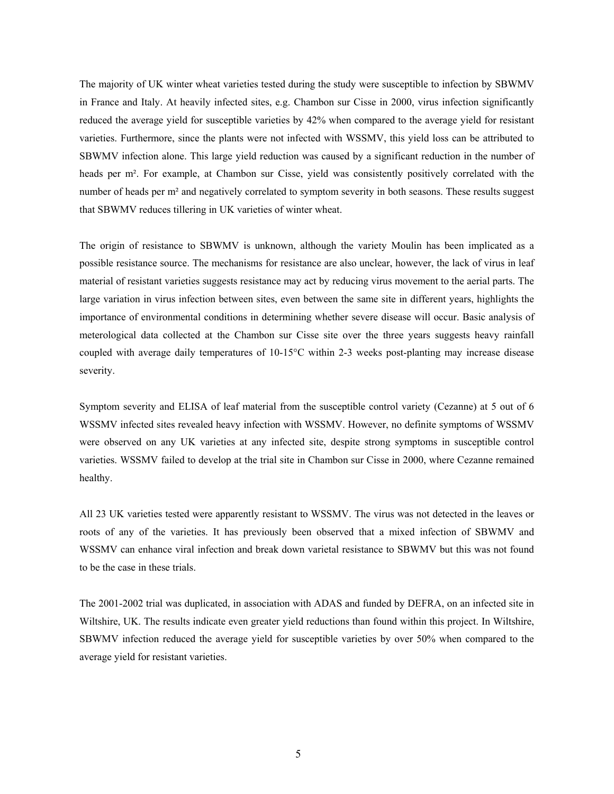The majority of UK winter wheat varieties tested during the study were susceptible to infection by SBWMV in France and Italy. At heavily infected sites, e.g. Chambon sur Cisse in 2000, virus infection significantly reduced the average yield for susceptible varieties by 42% when compared to the average yield for resistant varieties. Furthermore, since the plants were not infected with WSSMV, this yield loss can be attributed to SBWMV infection alone. This large yield reduction was caused by a significant reduction in the number of heads per m². For example, at Chambon sur Cisse, yield was consistently positively correlated with the number of heads per m<sup>2</sup> and negatively correlated to symptom severity in both seasons. These results suggest that SBWMV reduces tillering in UK varieties of winter wheat.

The origin of resistance to SBWMV is unknown, although the variety Moulin has been implicated as a possible resistance source. The mechanisms for resistance are also unclear, however, the lack of virus in leaf material of resistant varieties suggests resistance may act by reducing virus movement to the aerial parts. The large variation in virus infection between sites, even between the same site in different years, highlights the importance of environmental conditions in determining whether severe disease will occur. Basic analysis of meterological data collected at the Chambon sur Cisse site over the three years suggests heavy rainfall coupled with average daily temperatures of 10-15°C within 2-3 weeks post-planting may increase disease severity.

Symptom severity and ELISA of leaf material from the susceptible control variety (Cezanne) at 5 out of 6 WSSMV infected sites revealed heavy infection with WSSMV. However, no definite symptoms of WSSMV were observed on any UK varieties at any infected site, despite strong symptoms in susceptible control varieties. WSSMV failed to develop at the trial site in Chambon sur Cisse in 2000, where Cezanne remained healthy.

All 23 UK varieties tested were apparently resistant to WSSMV. The virus was not detected in the leaves or roots of any of the varieties. It has previously been observed that a mixed infection of SBWMV and WSSMV can enhance viral infection and break down varietal resistance to SBWMV but this was not found to be the case in these trials.

The 2001-2002 trial was duplicated, in association with ADAS and funded by DEFRA, on an infected site in Wiltshire, UK. The results indicate even greater yield reductions than found within this project. In Wiltshire, SBWMV infection reduced the average yield for susceptible varieties by over 50% when compared to the average yield for resistant varieties.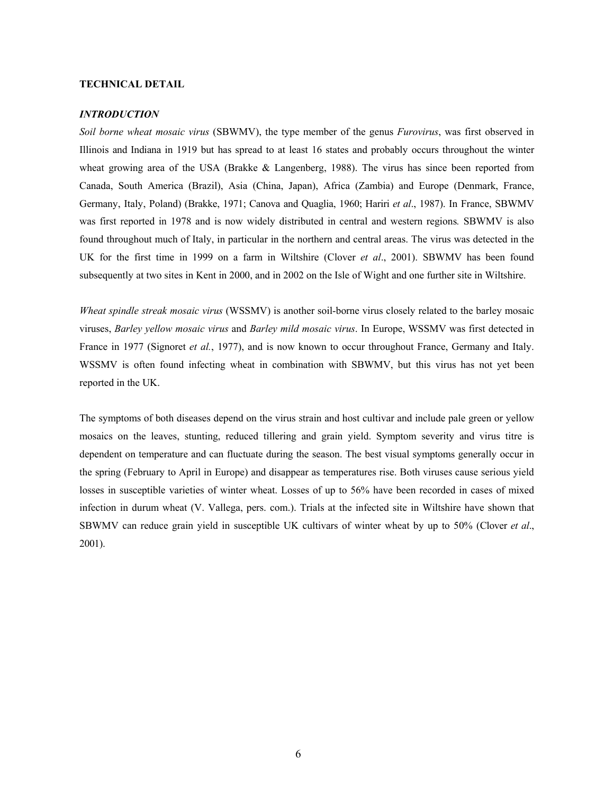### **TECHNICAL DETAIL**

#### *INTRODUCTION*

*Soil borne wheat mosaic virus* (SBWMV), the type member of the genus *Furovirus*, was first observed in Illinois and Indiana in 1919 but has spread to at least 16 states and probably occurs throughout the winter wheat growing area of the USA (Brakke & Langenberg, 1988). The virus has since been reported from Canada, South America (Brazil), Asia (China, Japan), Africa (Zambia) and Europe (Denmark, France, Germany, Italy, Poland) (Brakke, 1971; Canova and Quaglia, 1960; Hariri *et al*., 1987). In France, SBWMV was first reported in 1978 and is now widely distributed in central and western regions*.* SBWMV is also found throughout much of Italy, in particular in the northern and central areas. The virus was detected in the UK for the first time in 1999 on a farm in Wiltshire (Clover *et al*., 2001). SBWMV has been found subsequently at two sites in Kent in 2000, and in 2002 on the Isle of Wight and one further site in Wiltshire.

*Wheat spindle streak mosaic virus* (WSSMV) is another soil-borne virus closely related to the barley mosaic viruses, *Barley yellow mosaic virus* and *Barley mild mosaic virus*. In Europe, WSSMV was first detected in France in 1977 (Signoret *et al.*, 1977), and is now known to occur throughout France, Germany and Italy. WSSMV is often found infecting wheat in combination with SBWMV, but this virus has not yet been reported in the UK.

The symptoms of both diseases depend on the virus strain and host cultivar and include pale green or yellow mosaics on the leaves, stunting, reduced tillering and grain yield. Symptom severity and virus titre is dependent on temperature and can fluctuate during the season. The best visual symptoms generally occur in the spring (February to April in Europe) and disappear as temperatures rise. Both viruses cause serious yield losses in susceptible varieties of winter wheat. Losses of up to 56% have been recorded in cases of mixed infection in durum wheat (V. Vallega, pers. com.). Trials at the infected site in Wiltshire have shown that SBWMV can reduce grain yield in susceptible UK cultivars of winter wheat by up to 50% (Clover *et al*., 2001).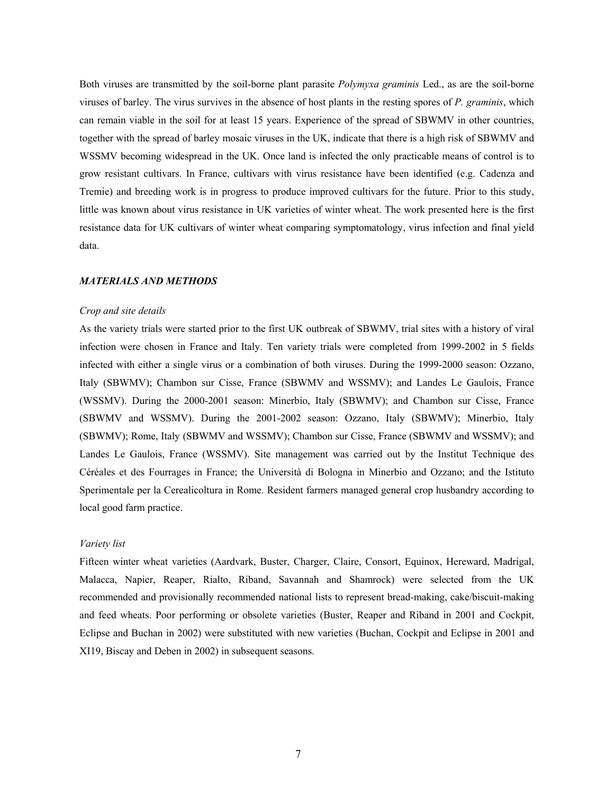Both viruses are transmitted by the soil-borne plant parasite *Polymyxa graminis* Led., as are the soil-borne viruses of barley. The virus survives in the absence of host plants in the resting spores of *P. graminis*, which can remain viable in the soil for at least 15 years. Experience of the spread of SBWMV in other countries, together with the spread of barley mosaic viruses in the UK, indicate that there is a high risk of SBWMV and WSSMV becoming widespread in the UK. Once land is infected the only practicable means of control is to grow resistant cultivars. In France, cultivars with virus resistance have been identified (e.g. Cadenza and Tremie) and breeding work is in progress to produce improved cultivars for the future. Prior to this study, little was known about virus resistance in UK varieties of winter wheat. The work presented here is the first resistance data for UK cultivars of winter wheat comparing symptomatology, virus infection and final yield data.

### *MATERIALS AND METHODS*

#### *Crop and site details*

As the variety trials were started prior to the first UK outbreak of SBWMV, trial sites with a history of viral infection were chosen in France and Italy. Ten variety trials were completed from 1999-2002 in 5 fields infected with either a single virus or a combination of both viruses. During the 1999-2000 season: Ozzano, Italy (SBWMV); Chambon sur Cisse, France (SBWMV and WSSMV); and Landes Le Gaulois, France (WSSMV). During the 2000-2001 season: Minerbio, Italy (SBWMV); and Chambon sur Cisse, France (SBWMV and WSSMV). During the 2001-2002 season: Ozzano, Italy (SBWMV); Minerbio, Italy (SBWMV); Rome, Italy (SBWMV and WSSMV); Chambon sur Cisse, France (SBWMV and WSSMV); and Landes Le Gaulois, France (WSSMV). Site management was carried out by the Institut Technique des Céréales et des Fourrages in France; the Università di Bologna in Minerbio and Ozzano; and the Istituto Sperimentale per la Cerealicoltura in Rome. Resident farmers managed general crop husbandry according to local good farm practice.

#### *Variety list*

Fifteen winter wheat varieties (Aardvark, Buster, Charger, Claire, Consort, Equinox, Hereward, Madrigal, Malacca, Napier, Reaper, Rialto, Riband, Savannah and Shamrock) were selected from the UK recommended and provisionally recommended national lists to represent bread-making, cake/biscuit-making and feed wheats. Poor performing or obsolete varieties (Buster, Reaper and Riband in 2001 and Cockpit, Eclipse and Buchan in 2002) were substituted with new varieties (Buchan, Cockpit and Eclipse in 2001 and XI19, Biscay and Deben in 2002) in subsequent seasons.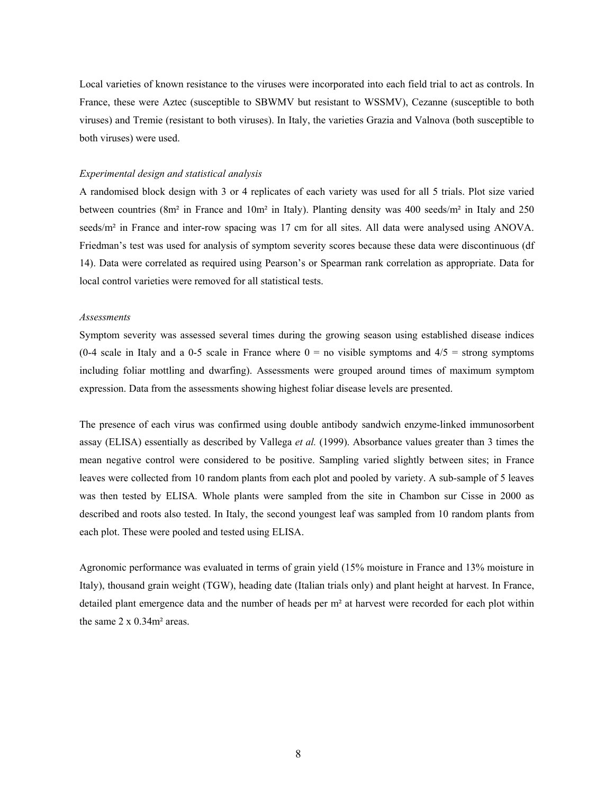Local varieties of known resistance to the viruses were incorporated into each field trial to act as controls. In France, these were Aztec (susceptible to SBWMV but resistant to WSSMV), Cezanne (susceptible to both viruses) and Tremie (resistant to both viruses). In Italy, the varieties Grazia and Valnova (both susceptible to both viruses) were used.

#### *Experimental design and statistical analysis*

A randomised block design with 3 or 4 replicates of each variety was used for all 5 trials. Plot size varied between countries (8m² in France and 10m² in Italy). Planting density was 400 seeds/m² in Italy and 250 seeds/m<sup>2</sup> in France and inter-row spacing was 17 cm for all sites. All data were analysed using ANOVA. Friedman's test was used for analysis of symptom severity scores because these data were discontinuous (df 14). Data were correlated as required using Pearson's or Spearman rank correlation as appropriate. Data for local control varieties were removed for all statistical tests.

#### *Assessments*

Symptom severity was assessed several times during the growing season using established disease indices (0-4 scale in Italy and a 0-5 scale in France where  $0 =$  no visible symptoms and  $4/5 =$  strong symptoms including foliar mottling and dwarfing). Assessments were grouped around times of maximum symptom expression. Data from the assessments showing highest foliar disease levels are presented.

The presence of each virus was confirmed using double antibody sandwich enzyme-linked immunosorbent assay (ELISA) essentially as described by Vallega *et al.* (1999). Absorbance values greater than 3 times the mean negative control were considered to be positive. Sampling varied slightly between sites; in France leaves were collected from 10 random plants from each plot and pooled by variety. A sub-sample of 5 leaves was then tested by ELISA*.* Whole plants were sampled from the site in Chambon sur Cisse in 2000 as described and roots also tested. In Italy, the second youngest leaf was sampled from 10 random plants from each plot. These were pooled and tested using ELISA.

Agronomic performance was evaluated in terms of grain yield (15% moisture in France and 13% moisture in Italy), thousand grain weight (TGW), heading date (Italian trials only) and plant height at harvest. In France, detailed plant emergence data and the number of heads per m² at harvest were recorded for each plot within the same  $2 \times 0.34$ m<sup>2</sup> areas.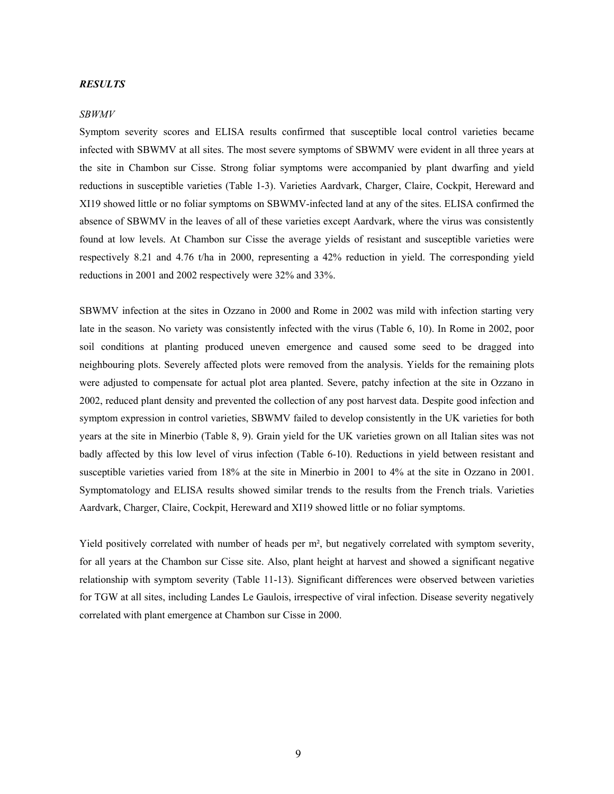## *RESULTS*

#### *SBWMV*

Symptom severity scores and ELISA results confirmed that susceptible local control varieties became infected with SBWMV at all sites. The most severe symptoms of SBWMV were evident in all three years at the site in Chambon sur Cisse. Strong foliar symptoms were accompanied by plant dwarfing and yield reductions in susceptible varieties (Table 1-3). Varieties Aardvark, Charger, Claire, Cockpit, Hereward and XI19 showed little or no foliar symptoms on SBWMV-infected land at any of the sites. ELISA confirmed the absence of SBWMV in the leaves of all of these varieties except Aardvark, where the virus was consistently found at low levels. At Chambon sur Cisse the average yields of resistant and susceptible varieties were respectively 8.21 and 4.76 t/ha in 2000, representing a 42% reduction in yield. The corresponding yield reductions in 2001 and 2002 respectively were 32% and 33%.

SBWMV infection at the sites in Ozzano in 2000 and Rome in 2002 was mild with infection starting very late in the season. No variety was consistently infected with the virus (Table 6, 10). In Rome in 2002, poor soil conditions at planting produced uneven emergence and caused some seed to be dragged into neighbouring plots. Severely affected plots were removed from the analysis. Yields for the remaining plots were adjusted to compensate for actual plot area planted. Severe, patchy infection at the site in Ozzano in 2002, reduced plant density and prevented the collection of any post harvest data. Despite good infection and symptom expression in control varieties, SBWMV failed to develop consistently in the UK varieties for both years at the site in Minerbio (Table 8, 9). Grain yield for the UK varieties grown on all Italian sites was not badly affected by this low level of virus infection (Table 6-10). Reductions in yield between resistant and susceptible varieties varied from 18% at the site in Minerbio in 2001 to 4% at the site in Ozzano in 2001. Symptomatology and ELISA results showed similar trends to the results from the French trials. Varieties Aardvark, Charger, Claire, Cockpit, Hereward and XI19 showed little or no foliar symptoms.

Yield positively correlated with number of heads per m², but negatively correlated with symptom severity, for all years at the Chambon sur Cisse site. Also, plant height at harvest and showed a significant negative relationship with symptom severity (Table 11-13). Significant differences were observed between varieties for TGW at all sites, including Landes Le Gaulois, irrespective of viral infection. Disease severity negatively correlated with plant emergence at Chambon sur Cisse in 2000.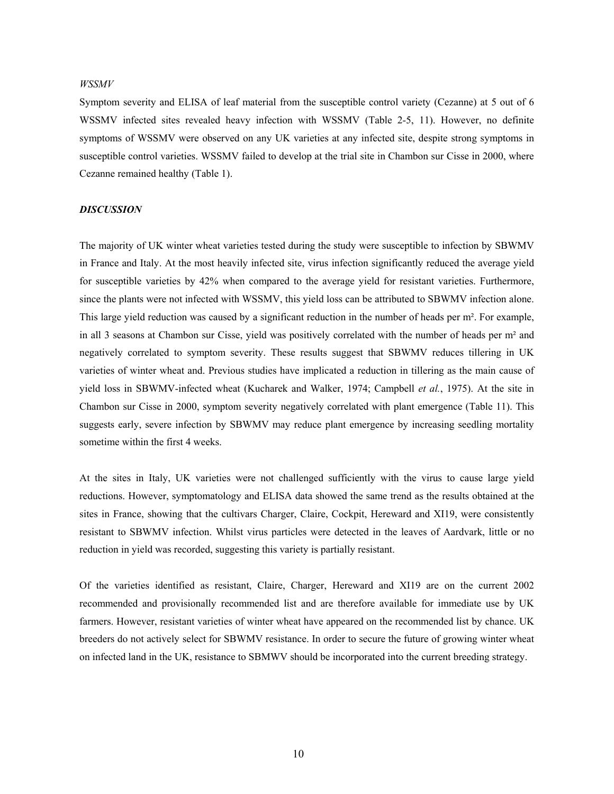## *WSSMV*

Symptom severity and ELISA of leaf material from the susceptible control variety (Cezanne) at 5 out of 6 WSSMV infected sites revealed heavy infection with WSSMV (Table 2-5, 11). However, no definite symptoms of WSSMV were observed on any UK varieties at any infected site, despite strong symptoms in susceptible control varieties. WSSMV failed to develop at the trial site in Chambon sur Cisse in 2000, where Cezanne remained healthy (Table 1).

## *DISCUSSION*

The majority of UK winter wheat varieties tested during the study were susceptible to infection by SBWMV in France and Italy. At the most heavily infected site, virus infection significantly reduced the average yield for susceptible varieties by 42% when compared to the average yield for resistant varieties. Furthermore, since the plants were not infected with WSSMV, this yield loss can be attributed to SBWMV infection alone. This large yield reduction was caused by a significant reduction in the number of heads per m². For example, in all 3 seasons at Chambon sur Cisse, yield was positively correlated with the number of heads per m² and negatively correlated to symptom severity. These results suggest that SBWMV reduces tillering in UK varieties of winter wheat and. Previous studies have implicated a reduction in tillering as the main cause of yield loss in SBWMV-infected wheat (Kucharek and Walker, 1974; Campbell *et al.*, 1975). At the site in Chambon sur Cisse in 2000, symptom severity negatively correlated with plant emergence (Table 11). This suggests early, severe infection by SBWMV may reduce plant emergence by increasing seedling mortality sometime within the first 4 weeks.

At the sites in Italy, UK varieties were not challenged sufficiently with the virus to cause large yield reductions. However, symptomatology and ELISA data showed the same trend as the results obtained at the sites in France, showing that the cultivars Charger, Claire, Cockpit, Hereward and XI19, were consistently resistant to SBWMV infection. Whilst virus particles were detected in the leaves of Aardvark, little or no reduction in yield was recorded, suggesting this variety is partially resistant.

Of the varieties identified as resistant, Claire, Charger, Hereward and XI19 are on the current 2002 recommended and provisionally recommended list and are therefore available for immediate use by UK farmers. However, resistant varieties of winter wheat have appeared on the recommended list by chance. UK breeders do not actively select for SBWMV resistance. In order to secure the future of growing winter wheat on infected land in the UK, resistance to SBMWV should be incorporated into the current breeding strategy.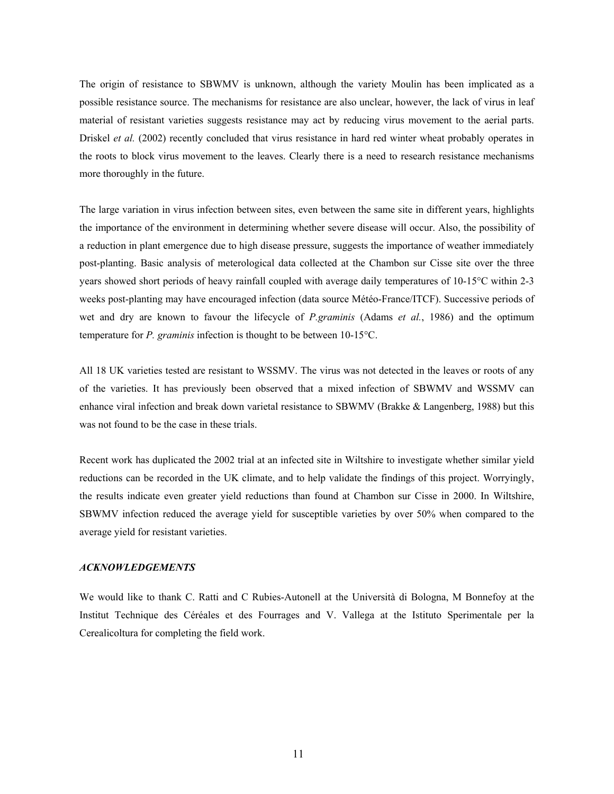The origin of resistance to SBWMV is unknown, although the variety Moulin has been implicated as a possible resistance source. The mechanisms for resistance are also unclear, however, the lack of virus in leaf material of resistant varieties suggests resistance may act by reducing virus movement to the aerial parts. Driskel *et al.* (2002) recently concluded that virus resistance in hard red winter wheat probably operates in the roots to block virus movement to the leaves. Clearly there is a need to research resistance mechanisms more thoroughly in the future.

The large variation in virus infection between sites, even between the same site in different years, highlights the importance of the environment in determining whether severe disease will occur. Also, the possibility of a reduction in plant emergence due to high disease pressure, suggests the importance of weather immediately post-planting. Basic analysis of meterological data collected at the Chambon sur Cisse site over the three years showed short periods of heavy rainfall coupled with average daily temperatures of 10-15°C within 2-3 weeks post-planting may have encouraged infection (data source Météo-France/ITCF). Successive periods of wet and dry are known to favour the lifecycle of *P.graminis* (Adams *et al.*, 1986) and the optimum temperature for *P. graminis* infection is thought to be between 10-15°C.

All 18 UK varieties tested are resistant to WSSMV. The virus was not detected in the leaves or roots of any of the varieties. It has previously been observed that a mixed infection of SBWMV and WSSMV can enhance viral infection and break down varietal resistance to SBWMV (Brakke & Langenberg, 1988) but this was not found to be the case in these trials.

Recent work has duplicated the 2002 trial at an infected site in Wiltshire to investigate whether similar yield reductions can be recorded in the UK climate, and to help validate the findings of this project. Worryingly, the results indicate even greater yield reductions than found at Chambon sur Cisse in 2000. In Wiltshire, SBWMV infection reduced the average yield for susceptible varieties by over 50% when compared to the average yield for resistant varieties.

## *ACKNOWLEDGEMENTS*

We would like to thank C. Ratti and C Rubies-Autonell at the Università di Bologna, M Bonnefoy at the Institut Technique des Céréales et des Fourrages and V. Vallega at the Istituto Sperimentale per la Cerealicoltura for completing the field work.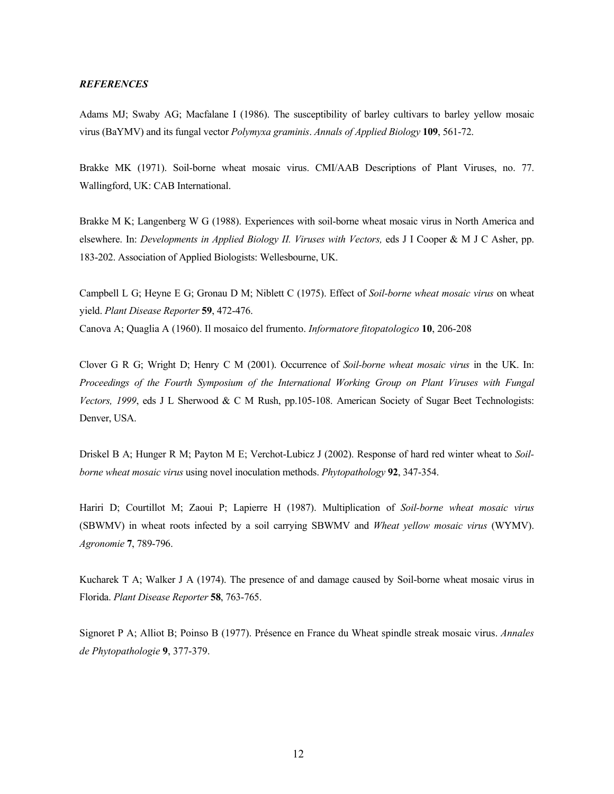#### *REFERENCES*

Adams MJ; Swaby AG; Macfalane I (1986). The susceptibility of barley cultivars to barley yellow mosaic virus (BaYMV) and its fungal vector *Polymyxa graminis*. *Annals of Applied Biology* **109**, 561-72.

Brakke MK (1971). Soil-borne wheat mosaic virus. CMI/AAB Descriptions of Plant Viruses, no. 77. Wallingford, UK: CAB International.

Brakke M K; Langenberg W G (1988). Experiences with soil-borne wheat mosaic virus in North America and elsewhere. In: *Developments in Applied Biology II. Viruses with Vectors,* eds J I Cooper & M J C Asher, pp. 183-202. Association of Applied Biologists: Wellesbourne, UK.

Campbell L G; Heyne E G; Gronau D M; Niblett C (1975). Effect of *Soil-borne wheat mosaic virus* on wheat yield. *Plant Disease Reporter* **59**, 472-476. Canova A; Quaglia A (1960). Il mosaico del frumento. *Informatore fitopatologico* **10**, 206-208

Clover G R G; Wright D; Henry C M (2001). Occurrence of *Soil-borne wheat mosaic virus* in the UK. In: *Proceedings of the Fourth Symposium of the International Working Group on Plant Viruses with Fungal Vectors, 1999*, eds J L Sherwood & C M Rush, pp.105-108. American Society of Sugar Beet Technologists: Denver, USA.

Driskel B A; Hunger R M; Payton M E; Verchot-Lubicz J (2002). Response of hard red winter wheat to *Soilborne wheat mosaic virus* using novel inoculation methods. *Phytopathology* **92**, 347-354.

Hariri D; Courtillot M; Zaoui P; Lapierre H (1987). Multiplication of *Soil-borne wheat mosaic virus*  (SBWMV) in wheat roots infected by a soil carrying SBWMV and *Wheat yellow mosaic virus* (WYMV). *Agronomie* **7**, 789-796.

Kucharek T A; Walker J A (1974). The presence of and damage caused by Soil-borne wheat mosaic virus in Florida. *Plant Disease Reporter* **58**, 763-765.

Signoret P A; Alliot B; Poinso B (1977). Présence en France du Wheat spindle streak mosaic virus. *Annales de Phytopathologie* **9**, 377-379.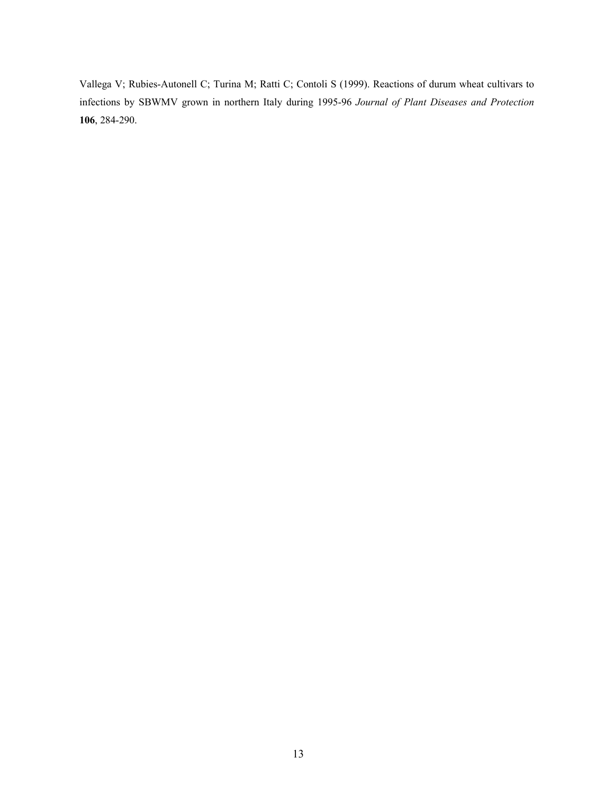Vallega V; Rubies-Autonell C; Turina M; Ratti C; Contoli S (1999). Reactions of durum wheat cultivars to infections by SBWMV grown in northern Italy during 1995-96 *Journal of Plant Diseases and Protection*  **106**, 284-290.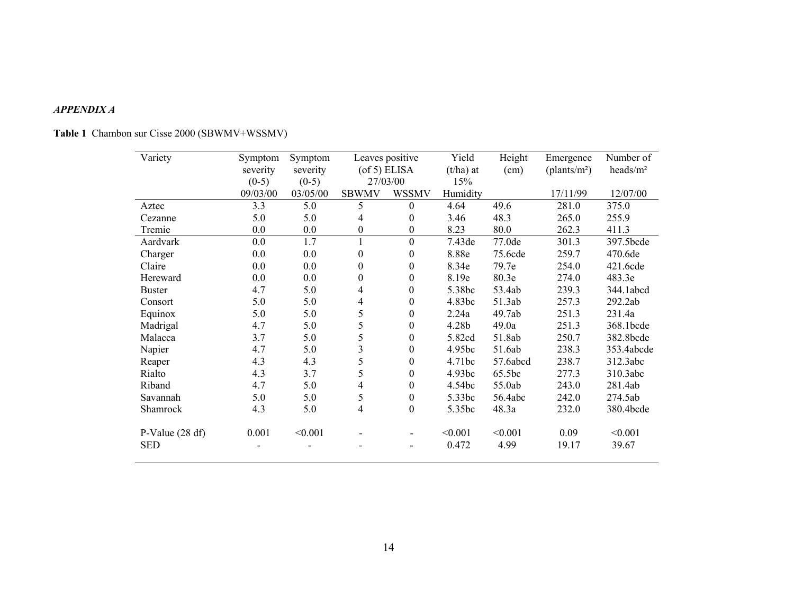#### *APPENDIX A*

| Variety           | Symptom  | Symptom  |                  | Leaves positive    | Yield       | Height   | Emergence                | Number of            |
|-------------------|----------|----------|------------------|--------------------|-------------|----------|--------------------------|----------------------|
|                   | severity | severity |                  | $($ of 5 $)$ ELISA | $(t/ha)$ at | (cm)     | (plants/m <sup>2</sup> ) | heads/m <sup>2</sup> |
|                   | $(0-5)$  | $(0-5)$  | 27/03/00         |                    | 15%         |          |                          |                      |
|                   | 09/03/00 | 03/05/00 | <b>SBWMV</b>     | <b>WSSMV</b>       | Humidity    |          | 17/11/99                 | 12/07/00             |
| Aztec             | 3.3      | 5.0      | 5                | $\theta$           | 4.64        | 49.6     | 281.0                    | 375.0                |
| Cezanne           | 5.0      | 5.0      | 4                | $\theta$           | 3.46        | 48.3     | 265.0                    | 255.9                |
| Tremie            | 0.0      | 0.0      | 0                | $\boldsymbol{0}$   | 8.23        | 80.0     | 262.3                    | 411.3                |
| Aardvark          | 0.0      | 1.7      | 1                | $\mathbf{0}$       | 7.43de      | 77.0de   | 301.3                    | 397.5bcde            |
| Charger           | 0.0      | 0.0      | $\boldsymbol{0}$ | $\overline{0}$     | 8.88e       | 75.6cde  | 259.7                    | 470.6de              |
| Claire            | 0.0      | 0.0      | $\boldsymbol{0}$ | 0                  | 8.34e       | 79.7e    | 254.0                    | 421.6cde             |
| Hereward          | 0.0      | 0.0      | $\boldsymbol{0}$ | $\mathbf{0}$       | 8.19e       | 80.3e    | 274.0                    | 483.3e               |
| <b>Buster</b>     | 4.7      | 5.0      | 4                | $\theta$           | 5.38bc      | 53.4ab   | 239.3                    | 344.1abcd            |
| Consort           | 5.0      | 5.0      | $\overline{4}$   | $\theta$           | 4.83bc      | 51.3ab   | 257.3                    | 292.2ab              |
| Equinox           | 5.0      | 5.0      | 5                | 0                  | 2.24a       | 49.7ab   | 251.3                    | 231.4a               |
| Madrigal          | 4.7      | 5.0      | 5                | $\overline{0}$     | 4.28b       | 49.0a    | 251.3                    | 368.1bcde            |
| Malacca           | 3.7      | 5.0      | 5                | $\boldsymbol{0}$   | 5.82cd      | 51.8ab   | 250.7                    | 382.8bcde            |
| Napier            | 4.7      | 5.0      | 3                | $\overline{0}$     | 4.95bc      | 51.6ab   | 238.3                    | 353.4abcde           |
| Reaper            | 4.3      | 4.3      | 5                | $\boldsymbol{0}$   | 4.71bc      | 57.6abcd | 238.7                    | 312.3abc             |
| Rialto            | 4.3      | 3.7      | 5                | 0                  | 4.93bc      | 65.5bc   | 277.3                    | 310.3abc             |
| Riband            | 4.7      | 5.0      | 4                | $\overline{0}$     | 4.54bc      | 55.0ab   | 243.0                    | 281.4ab              |
| Savannah          | 5.0      | 5.0      | 5                | $\boldsymbol{0}$   | 5.33bc      | 56.4abc  | 242.0                    | 274.5ab              |
| Shamrock          | 4.3      | 5.0      | $\overline{4}$   | $\boldsymbol{0}$   | 5.35bc      | 48.3a    | 232.0                    | 380.4bcde            |
| P-Value $(28 df)$ | 0.001    | < 0.001  |                  |                    | < 0.001     | < 0.001  | 0.09                     | < 0.001              |
| <b>SED</b>        |          |          |                  |                    | 0.472       | 4.99     | 19.17                    | 39.67                |

# **Table 1** Chambon sur Cisse 2000 (SBWMV+WSSMV)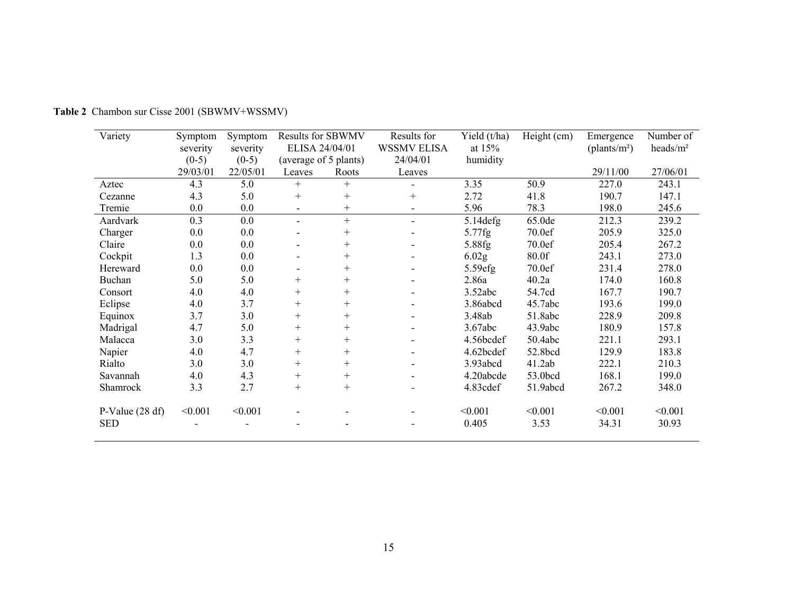| Variety           | Symptom  | Symptom  | <b>Results for SBWMV</b> |        | Results for              | Yield (t/ha)      | Height (cm) | Emergence                | Number of            |
|-------------------|----------|----------|--------------------------|--------|--------------------------|-------------------|-------------|--------------------------|----------------------|
|                   | severity | severity | ELISA 24/04/01           |        | <b>WSSMV ELISA</b>       | at $15%$          |             | (plants/m <sup>2</sup> ) | heads/m <sup>2</sup> |
|                   | $(0-5)$  | $(0-5)$  | (average of 5 plants)    |        | 24/04/01                 | humidity          |             |                          |                      |
|                   | 29/03/01 | 22/05/01 | Leaves                   | Roots  | Leaves                   |                   |             | 29/11/00                 | 27/06/01             |
| Aztec             | 4.3      | 5.0      | $^{+}$                   | $^{+}$ |                          | 3.35              | 50.9        | 227.0                    | 243.1                |
| Cezanne           | 4.3      | 5.0      | $+$                      | $+$    | $^{+}$                   | 2.72              | 41.8        | 190.7                    | 147.1                |
| Tremie            | 0.0      | 0.0      | $\overline{\phantom{0}}$ | $^{+}$ | $\overline{\phantom{a}}$ | 5.96              | 78.3        | 198.0                    | 245.6                |
| Aardvark          | 0.3      | 0.0      | $\overline{\phantom{0}}$ | $+$    | $\blacksquare$           | $5.14$ defg       | 65.0de      | 212.3                    | 239.2                |
| Charger           | 0.0      | 0.0      |                          | $^{+}$ | $\overline{\phantom{0}}$ | 5.77fg            | 70.0ef      | 205.9                    | 325.0                |
| Claire            | 0.0      | 0.0      |                          | $^{+}$ |                          | 5.88fg            | 70.0ef      | 205.4                    | 267.2                |
| Cockpit           | 1.3      | 0.0      |                          | $^{+}$ | $\overline{\phantom{0}}$ | 6.02 <sub>g</sub> | 80.0f       | 243.1                    | 273.0                |
| Hereward          | 0.0      | 0.0      |                          | $^{+}$ | $\overline{\phantom{0}}$ | $5.59$ efg        | 70.0ef      | 231.4                    | 278.0                |
| Buchan            | 5.0      | 5.0      | $^{+}$                   | $^{+}$ | $\overline{\phantom{0}}$ | 2.86a             | 40.2a       | 174.0                    | 160.8                |
| Consort           | 4.0      | 4.0      | $^{+}$                   | $+$    |                          | 3.52abc           | 54.7cd      | 167.7                    | 190.7                |
| Eclipse           | 4.0      | 3.7      | $^{+}$                   | $^{+}$ |                          | 3.86abcd          | 45.7abc     | 193.6                    | 199.0                |
| Equinox           | 3.7      | 3.0      | $^{+}$                   | $+$    |                          | 3.48ab            | 51.8abc     | 228.9                    | 209.8                |
| Madrigal          | 4.7      | 5.0      | $^{+}$                   | $+$    | $\overline{\phantom{0}}$ | 3.67abc           | 43.9abc     | 180.9                    | 157.8                |
| Malacca           | 3.0      | 3.3      | $^{+}$                   | $+$    |                          | 4.56bcdef         | 50.4abc     | 221.1                    | 293.1                |
| Napier            | 4.0      | 4.7      | $^{+}$                   | $^{+}$ |                          | 4.62bcdef         | 52.8bcd     | 129.9                    | 183.8                |
| Rialto            | 3.0      | 3.0      | $^+$                     | $^{+}$ | $\overline{\phantom{0}}$ | 3.93abcd          | 41.2ab      | 222.1                    | 210.3                |
| Savannah          | 4.0      | 4.3      | $^{+}$                   | $+$    | $\overline{\phantom{0}}$ | 4.20abcde         | 53.0bcd     | 168.1                    | 199.0                |
| Shamrock          | 3.3      | 2.7      | $^{+}$                   | $^{+}$ |                          | 4.83cdef          | 51.9abcd    | 267.2                    | 348.0                |
| P-Value $(28 df)$ | < 0.001  | < 0.001  |                          |        |                          | < 0.001           | < 0.001     | < 0.001                  | < 0.001              |
| <b>SED</b>        |          |          |                          |        |                          | 0.405             | 3.53        | 34.31                    | 30.93                |

**Table 2** Chambon sur Cisse 2001 (SBWMV+WSSMV)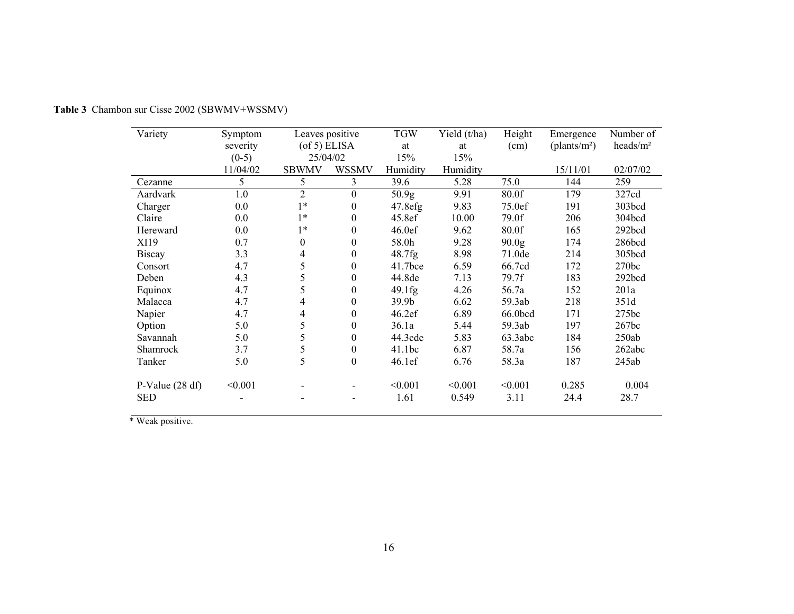| Variety           | Symptom  | Leaves positive    |                          | <b>TGW</b>        | Yield (t/ha) | Height            | Emergence                | Number of            |
|-------------------|----------|--------------------|--------------------------|-------------------|--------------|-------------------|--------------------------|----------------------|
|                   | severity | $($ of 5 $)$ ELISA |                          | at                | at           | (cm)              | (plants/m <sup>2</sup> ) | heads/m <sup>2</sup> |
|                   | $(0-5)$  | 25/04/02           |                          | 15%               | 15%          |                   |                          |                      |
|                   | 11/04/02 | <b>SBWMV</b>       | <b>WSSMV</b>             | Humidity          | Humidity     |                   | 15/11/01                 | 02/07/02             |
| Cezanne           | 5        | 5                  | 3                        | 39.6              | 5.28         | 75.0              | 144                      | 259                  |
| Aardvark          | 1.0      | $\overline{2}$     | $\boldsymbol{0}$         | 50.9 <sub>g</sub> | 9.91         | 80.0f             | 179                      | 327cd                |
| Charger           | 0.0      | $1*$               | $\boldsymbol{0}$         | 47.8efg           | 9.83         | 75.0ef            | 191                      | 303bcd               |
| Claire            | 0.0      | $1*$               | $\mathbf{0}$             | 45.8ef            | 10.00        | 79.0f             | 206                      | 304bcd               |
| Hereward          | 0.0      | $1*$               | $\theta$                 | 46.0ef            | 9.62         | 80.0f             | 165                      | 292bcd               |
| XI19              | 0.7      | $\overline{0}$     | $\mathbf{0}$             | 58.0h             | 9.28         | 90.0 <sub>g</sub> | 174                      | 286bcd               |
| <b>Biscay</b>     | 3.3      | 4                  | $\theta$                 | 48.7fg            | 8.98         | 71.0de            | 214                      | 305bcd               |
| Consort           | 4.7      | 5                  | $\theta$                 | $41.7$ bce        | 6.59         | 66.7cd            | 172                      | 270bc                |
| Deben             | 4.3      | 5                  | $\theta$                 | 44.8de            | 7.13         | 79.7f             | 183                      | 292bcd               |
| Equinox           | 4.7      | 5                  | $\theta$                 | 49.1fg            | 4.26         | 56.7a             | 152                      | 201a                 |
| Malacca           | 4.7      | 4                  | $\boldsymbol{0}$         | 39.9 <sub>b</sub> | 6.62         | 59.3ab            | 218                      | 351d                 |
| Napier            | 4.7      | $\overline{4}$     | $\theta$                 | 46.2ef            | 6.89         | 66.0bcd           | 171                      | 275bc                |
| Option            | 5.0      | 5                  | $\boldsymbol{0}$         | 36.1a             | 5.44         | 59.3ab            | 197                      | 267bc                |
| Savannah          | 5.0      | 5                  | $\boldsymbol{0}$         | 44.3cde           | 5.83         | 63.3abc           | 184                      | 250ab                |
| <b>Shamrock</b>   | 3.7      | 5                  | $\boldsymbol{0}$         | 41.1bc            | 6.87         | 58.7a             | 156                      | 262abc               |
| Tanker            | 5.0      | 5                  | $\boldsymbol{0}$         | 46.1ef            | 6.76         | 58.3a             | 187                      | 245ab                |
| P-Value $(28 df)$ | < 0.001  |                    |                          | < 0.001           | < 0.001      | < 0.001           | 0.285                    | 0.004                |
| <b>SED</b>        |          |                    | $\overline{\phantom{0}}$ | 1.61              | 0.549        | 3.11              | 24.4                     | 28.7                 |

**Table 3** Chambon sur Cisse 2002 (SBWMV+WSSMV)

\* Weak positive.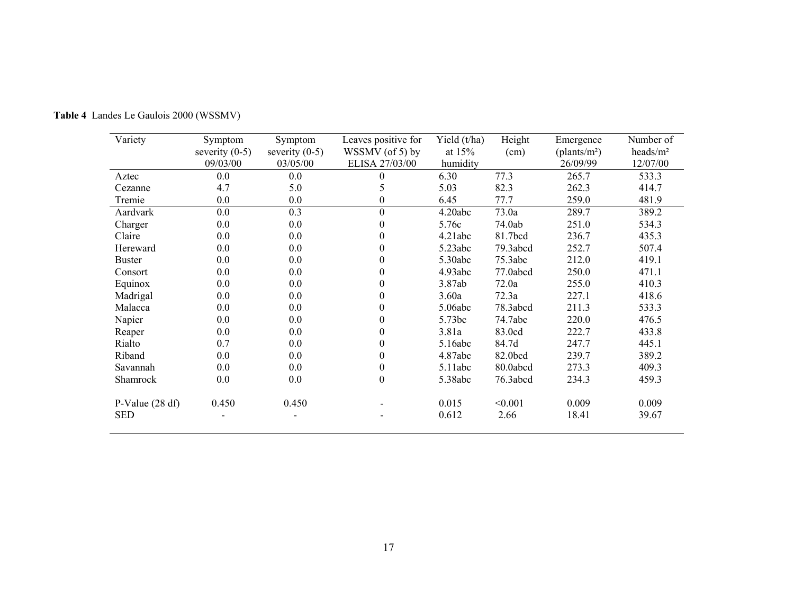| Variety           | Symptom          | Symptom          | Leaves positive for | Yield $(t/ha)$ | Height   | Emergence                | Number of            |
|-------------------|------------------|------------------|---------------------|----------------|----------|--------------------------|----------------------|
|                   | severity $(0-5)$ | severity $(0-5)$ | WSSMV (of 5) by     | at $15%$       | (cm)     | (plants/m <sup>2</sup> ) | heads/m <sup>2</sup> |
|                   | 09/03/00         | 03/05/00         | ELISA 27/03/00      | humidity       |          | 26/09/99                 | 12/07/00             |
| Aztec             | 0.0              | 0.0              | 0                   | 6.30           | 77.3     | 265.7                    | 533.3                |
| Cezanne           | 4.7              | 5.0              | 5                   | 5.03           | 82.3     | 262.3                    | 414.7                |
| Tremie            | 0.0              | 0.0              | $\boldsymbol{0}$    | 6.45           | 77.7     | 259.0                    | 481.9                |
| Aardvark          | 0.0              | 0.3              | $\boldsymbol{0}$    | 4.20abc        | 73.0a    | 289.7                    | 389.2                |
| Charger           | 0.0              | 0.0              | $\boldsymbol{0}$    | 5.76c          | 74.0ab   | 251.0                    | 534.3                |
| Claire            | 0.0              | 0.0              | $\theta$            | 4.21abc        | 81.7bcd  | 236.7                    | 435.3                |
| Hereward          | 0.0              | 0.0              | $\overline{0}$      | 5.23abc        | 79.3abcd | 252.7                    | 507.4                |
| <b>Buster</b>     | 0.0              | 0.0              | $\theta$            | 5.30abc        | 75.3abc  | 212.0                    | 419.1                |
| Consort           | 0.0              | 0.0              | $\overline{0}$      | 4.93abc        | 77.0abcd | 250.0                    | 471.1                |
| Equinox           | 0.0              | 0.0              | $\theta$            | 3.87ab         | 72.0a    | 255.0                    | 410.3                |
| Madrigal          | 0.0              | 0.0              | 0                   | 3.60a          | 72.3a    | 227.1                    | 418.6                |
| Malacca           | 0.0              | 0.0              | $\boldsymbol{0}$    | 5.06abc        | 78.3abcd | 211.3                    | 533.3                |
| Napier            | 0.0              | 0.0              | $\overline{0}$      | 5.73bc         | 74.7abc  | 220.0                    | 476.5                |
| Reaper            | 0.0              | 0.0              | $\theta$            | 3.81a          | 83.0cd   | 222.7                    | 433.8                |
| Rialto            | 0.7              | 0.0              | $\boldsymbol{0}$    | 5.16abc        | 84.7d    | 247.7                    | 445.1                |
| Riband            | 0.0              | 0.0              | $\boldsymbol{0}$    | 4.87abc        | 82.0bcd  | 239.7                    | 389.2                |
| Savannah          | 0.0              | 0.0              | $\boldsymbol{0}$    | 5.11abc        | 80.0abcd | 273.3                    | 409.3                |
| Shamrock          | 0.0              | 0.0              | $\boldsymbol{0}$    | 5.38abc        | 76.3abcd | 234.3                    | 459.3                |
| P-Value $(28 df)$ | 0.450            | 0.450            |                     | 0.015          | < 0.001  | 0.009                    | 0.009                |
| <b>SED</b>        |                  |                  |                     | 0.612          | 2.66     | 18.41                    | 39.67                |

**Table 4** Landes Le Gaulois 2000 (WSSMV)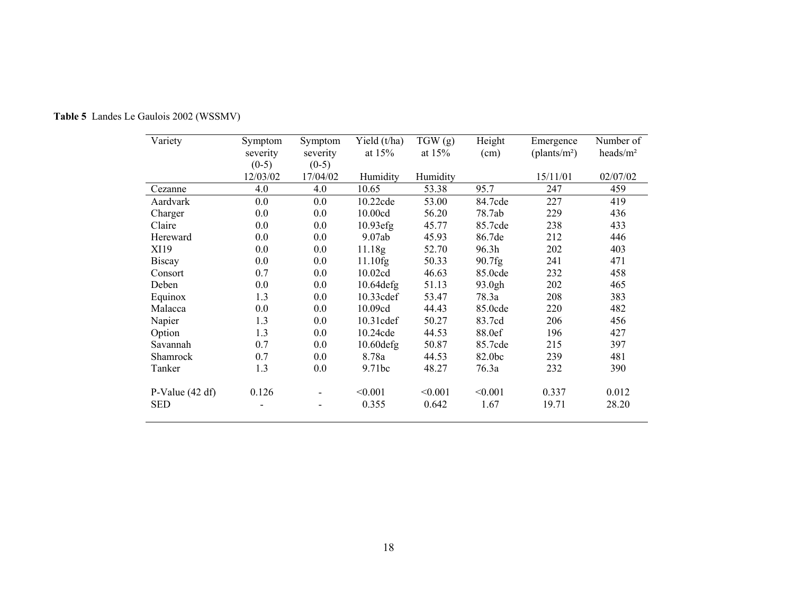| Variety           | Symptom  | Symptom                  | Yield $(t/ha)$ | TGW(g)   | Height  | Emergence                | Number of            |
|-------------------|----------|--------------------------|----------------|----------|---------|--------------------------|----------------------|
|                   | severity | severity                 | at $15%$       | at $15%$ | (cm)    | (plants/m <sup>2</sup> ) | heads/m <sup>2</sup> |
|                   | $(0-5)$  | $(0-5)$                  |                |          |         |                          |                      |
|                   | 12/03/02 | 17/04/02                 | Humidity       | Humidity |         | 15/11/01                 | 02/07/02             |
| Cezanne           | 4.0      | 4.0                      | 10.65          | 53.38    | 95.7    | 247                      | 459                  |
| Aardvark          | 0.0      | 0.0                      | 10.22cde       | 53.00    | 84.7cde | 227                      | 419                  |
| Charger           | 0.0      | 0.0                      | 10.00cd        | 56.20    | 78.7ab  | 229                      | 436                  |
| Claire            | 0.0      | 0.0                      | $10.93$ efg    | 45.77    | 85.7cde | 238                      | 433                  |
| Hereward          | 0.0      | 0.0                      | 9.07ab         | 45.93    | 86.7de  | 212                      | 446                  |
| XI19              | 0.0      | 0.0                      | 11.18g         | 52.70    | 96.3h   | 202                      | 403                  |
| <b>Biscay</b>     | 0.0      | 0.0                      | 11.10fg        | 50.33    | 90.7fg  | 241                      | 471                  |
| Consort           | 0.7      | 0.0                      | 10.02cd        | 46.63    | 85.0cde | 232                      | 458                  |
| Deben             | 0.0      | 0.0                      | $10.64$ defg   | 51.13    | 93.0gh  | 202                      | 465                  |
| Equinox           | 1.3      | 0.0                      | 10.33cdef      | 53.47    | 78.3a   | 208                      | 383                  |
| Malacca           | 0.0      | 0.0                      | 10.09cd        | 44.43    | 85.0cde | 220                      | 482                  |
| Napier            | 1.3      | 0.0                      | 10.31cdef      | 50.27    | 83.7cd  | 206                      | 456                  |
| Option            | 1.3      | 0.0                      | 10.24cde       | 44.53    | 88.0ef  | 196                      | 427                  |
| Savannah          | 0.7      | 0.0                      | $10.60$ defg   | 50.87    | 85.7cde | 215                      | 397                  |
| Shamrock          | 0.7      | 0.0                      | 8.78a          | 44.53    | 82.0bc  | 239                      | 481                  |
| Tanker            | 1.3      | 0.0                      | 9.71bc         | 48.27    | 76.3a   | 232                      | 390                  |
| P-Value $(42 df)$ | 0.126    | $\overline{\phantom{a}}$ | < 0.001        | < 0.001  | < 0.001 | 0.337                    | 0.012                |
| <b>SED</b>        |          |                          | 0.355          | 0.642    | 1.67    | 19.71                    | 28.20                |

**Table 5** Landes Le Gaulois 2002 (WSSMV)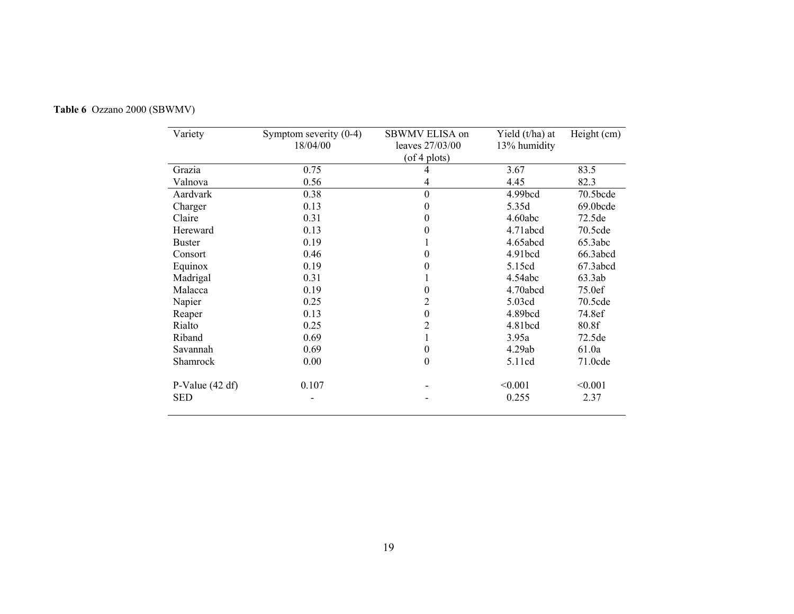| Variety           | Symptom severity $(0-4)$<br>18/04/00 | SBWMV ELISA on<br>leaves 27/03/00 | Yield (t/ha) at<br>13% humidity | Height (cm) |
|-------------------|--------------------------------------|-----------------------------------|---------------------------------|-------------|
|                   |                                      | $($ of 4 plots $)$                |                                 |             |
| Grazia            | 0.75                                 | 4                                 | 3.67                            | 83.5        |
| Valnova           | 0.56                                 | 4                                 | 4.45                            | 82.3        |
| Aardvark          | 0.38                                 | $\boldsymbol{0}$                  | 4.99bcd                         | $70.5$ bcde |
| Charger           | 0.13                                 | 0                                 | 5.35d                           | 69.0bcde    |
| Claire            | 0.31                                 | 0                                 | 4.60abc                         | 72.5de      |
| Hereward          | 0.13                                 | 0                                 | 4.71abcd                        | 70.5cde     |
| <b>Buster</b>     | 0.19                                 | 1                                 | 4.65abcd                        | 65.3abc     |
| Consort           | 0.46                                 | $\boldsymbol{0}$                  | 4.91 <sub>bcd</sub>             | 66.3abcd    |
| Equinox           | 0.19                                 | $\boldsymbol{0}$                  | 5.15cd                          | 67.3abcd    |
| Madrigal          | 0.31                                 | 1                                 | 4.54abc                         | 63.3ab      |
| Malacca           | 0.19                                 | 0                                 | 4.70abcd                        | 75.0ef      |
| Napier            | 0.25                                 | 2                                 | 5.03cd                          | 70.5cde     |
| Reaper            | 0.13                                 | $\boldsymbol{0}$                  | 4.89bcd                         | 74.8ef      |
| Rialto            | 0.25                                 | $\overline{c}$                    | 4.81bcd                         | 80.8f       |
| Riband            | 0.69                                 | 1                                 | 3.95a                           | 72.5de      |
| Savannah          | 0.69                                 | $\boldsymbol{0}$                  | 4.29ab                          | 61.0a       |
| Shamrock          | 0.00                                 | $\boldsymbol{0}$                  | 5.11cd                          | $71.0$ cde  |
| P-Value $(42 df)$ | 0.107                                |                                   | < 0.001                         | < 0.001     |
| <b>SED</b>        |                                      |                                   | 0.255                           | 2.37        |

**Table 6** Ozzano 2000 (SBWMV)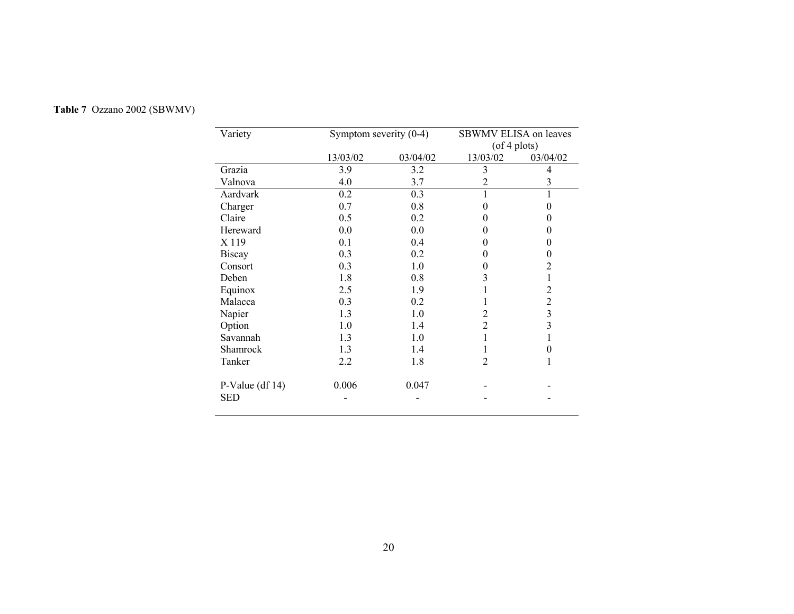| Variety           | Symptom severity $(0-4)$ |          |                    | SBWMV ELISA on leaves |  |  |  |
|-------------------|--------------------------|----------|--------------------|-----------------------|--|--|--|
|                   |                          |          | $($ of 4 plots $)$ |                       |  |  |  |
|                   | 13/03/02                 | 03/04/02 | 13/03/02           | 03/04/02              |  |  |  |
| Grazia            | 3.9                      | 3.2      | 3                  | 4                     |  |  |  |
| Valnova           | 4.0                      | 3.7      | 2                  | 3                     |  |  |  |
| Aardvark          | 0.2                      | 0.3      |                    | 1                     |  |  |  |
| Charger           | 0.7                      | 0.8      | 0                  | 0                     |  |  |  |
| Claire            | 0.5                      | 0.2      | 0                  | 0                     |  |  |  |
| Hereward          | 0.0                      | 0.0      |                    | 0                     |  |  |  |
| X 119             | 0.1                      | 0.4      |                    | 0                     |  |  |  |
| <b>Biscay</b>     | 0.3                      | 0.2      | $\mathbf{\Omega}$  | 0                     |  |  |  |
| Consort           | 0.3                      | 1.0      | 0                  | 2                     |  |  |  |
| Deben             | 1.8                      | 0.8      | 3                  | 1                     |  |  |  |
| Equinox           | 2.5                      | 1.9      |                    | $\overline{c}$        |  |  |  |
| Malacca           | 0.3                      | 0.2      |                    | $\overline{c}$        |  |  |  |
| Napier            | 1.3                      | 1.0      | 2                  | 3                     |  |  |  |
| Option            | 1.0                      | 1.4      | $\overline{2}$     | 3                     |  |  |  |
| Savannah          | 1.3                      | 1.0      |                    |                       |  |  |  |
| Shamrock          | 1.3                      | 1.4      |                    | 0                     |  |  |  |
| Tanker            | 2.2                      | 1.8      | 2                  |                       |  |  |  |
| P-Value $(df 14)$ | 0.006                    | 0.047    |                    |                       |  |  |  |
| <b>SED</b>        |                          |          |                    |                       |  |  |  |

# **Table 7** Ozzano 2002 (SBWMV)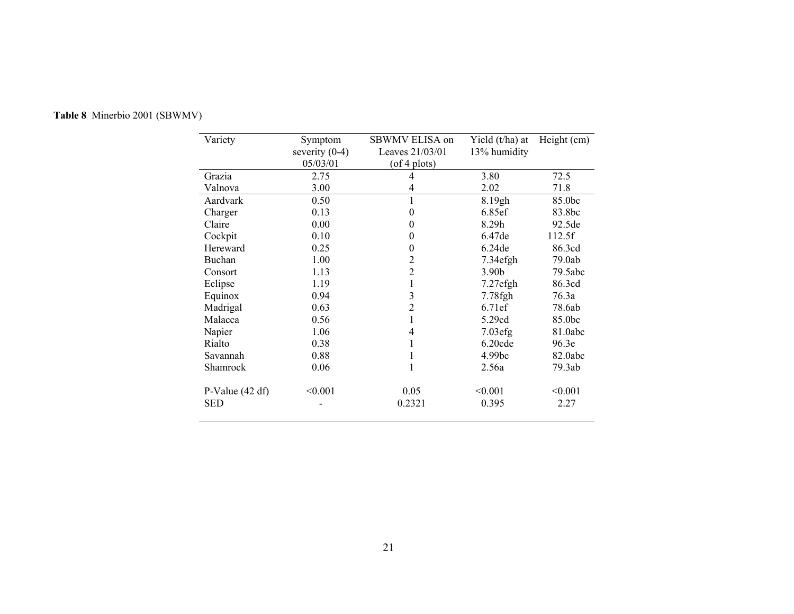| Variety           | Symptom          | SBWMV ELISA on     | Yield (t/ha) at   | Height $(cm)$ |
|-------------------|------------------|--------------------|-------------------|---------------|
|                   | severity $(0-4)$ | Leaves 21/03/01    | 13% humidity      |               |
|                   | 05/03/01         | $($ of 4 plots $)$ |                   |               |
| Grazia            | 2.75             | 4                  | 3.80              | 72.5          |
| Valnova           | 3.00             | 4                  | 2.02              | 71.8          |
| Aardvark          | 0.50             |                    | 8.19gh            | 85.0bc        |
| Charger           | 0.13             | $\theta$           | 6.85ef            | 83.8bc        |
| Claire            | 0.00             | 0                  | 8.29h             | 92.5de        |
| Cockpit           | 0.10             | 0                  | 6.47de            | 112.5f        |
| Hereward          | 0.25             | 0                  | 6.24de            | 86.3cd        |
| Buchan            | 1.00             | 2                  | $7.34$ efgh       | 79.0ab        |
| Consort           | 1.13             | 2                  | 3.90 <sub>b</sub> | 79.5abc       |
| Eclipse           | 1.19             | 1                  | $7.27$ efgh       | 86.3cd        |
| Equinox           | 0.94             | 3                  | 7.78fgh           | 76.3a         |
| Madrigal          | 0.63             | 2                  | 6.71ef            | 78.6ab        |
| Malacca           | 0.56             |                    | 5.29cd            | 85.0bc        |
| Napier            | 1.06             | 4                  | $7.03$ efg        | 81.0abc       |
| Rialto            | 0.38             |                    | $6.20$ cde        | 96.3e         |
| Savannah          | 0.88             |                    | 4.99bc            | 82.0abc       |
| Shamrock          | 0.06             |                    | 2.56a             | 79.3ab        |
| P-Value $(42 df)$ | < 0.001          | 0.05               | < 0.001           | < 0.001       |
| <b>SED</b>        |                  | 0.2321             | 0.395             | 2.27          |

# **Table 8** Minerbio 2001 (SBWMV)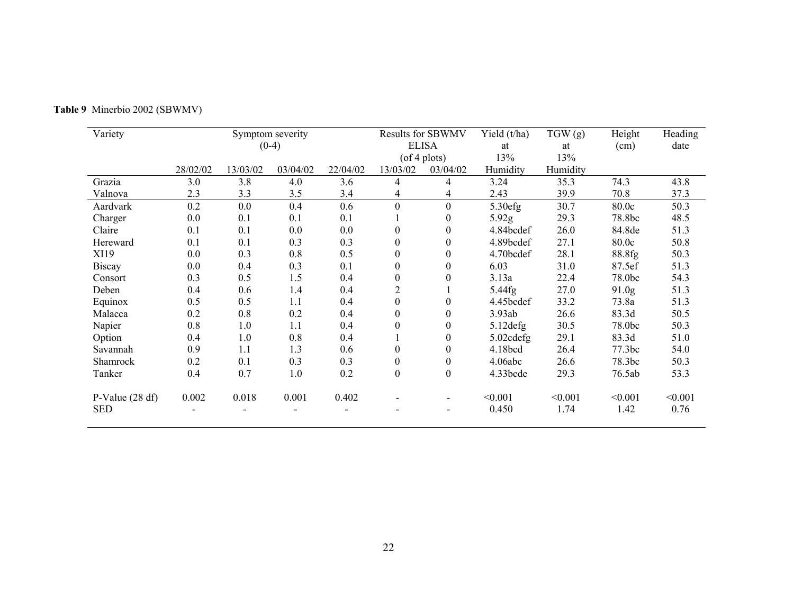| Variety           |          |          | Symptom severity |          |                  | <b>Results for SBWMV</b> | Yield $(t/ha)$ | TGW(g)   | Height            | Heading |
|-------------------|----------|----------|------------------|----------|------------------|--------------------------|----------------|----------|-------------------|---------|
|                   |          |          | $(0-4)$          |          |                  | <b>ELISA</b>             | at             | at       | (cm)              | date    |
|                   |          |          |                  |          |                  | $($ of 4 plots $)$       | 13%            | 13%      |                   |         |
|                   | 28/02/02 | 13/03/02 | 03/04/02         | 22/04/02 | 13/03/02         | 03/04/02                 | Humidity       | Humidity |                   |         |
| Grazia            | 3.0      | 3.8      | 4.0              | 3.6      | 4                | 4                        | 3.24           | 35.3     | 74.3              | 43.8    |
| Valnova           | 2.3      | 3.3      | 3.5              | 3.4      | 4                | 4                        | 2.43           | 39.9     | 70.8              | 37.3    |
| Aardvark          | 0.2      | 0.0      | 0.4              | 0.6      | $\mathbf{0}$     | $\mathbf{0}$             | 5.30efg        | 30.7     | 80.0c             | 50.3    |
| Charger           | 0.0      | 0.1      | 0.1              | 0.1      |                  | 0                        | 5.92g          | 29.3     | 78.8bc            | 48.5    |
| Claire            | 0.1      | 0.1      | 0.0              | 0.0      | $\theta$         | $\theta$                 | 4.84bcdef      | 26.0     | 84.8de            | 51.3    |
| Hereward          | 0.1      | 0.1      | 0.3              | 0.3      | $\theta$         | 0                        | 4.89bcdef      | 27.1     | 80.0c             | 50.8    |
| XI19              | 0.0      | 0.3      | 0.8              | 0.5      | $\overline{0}$   | 0                        | 4.70bcdef      | 28.1     | 88.8fg            | 50.3    |
| <b>Biscay</b>     | 0.0      | 0.4      | 0.3              | 0.1      | $\theta$         | 0                        | 6.03           | 31.0     | 87.5ef            | 51.3    |
| Consort           | 0.3      | 0.5      | 1.5              | 0.4      | $\overline{0}$   | 0                        | 3.13a          | 22.4     | 78.0bc            | 54.3    |
| Deben             | 0.4      | 0.6      | 1.4              | 0.4      | $\overline{2}$   |                          | 5.44fg         | 27.0     | 91.0 <sub>g</sub> | 51.3    |
| Equinox           | 0.5      | 0.5      | 1.1              | 0.4      | $\overline{0}$   | $\theta$                 | 4.45bcdef      | 33.2     | 73.8a             | 51.3    |
| Malacca           | 0.2      | 0.8      | 0.2              | 0.4      | $\overline{0}$   | 0                        | 3.93ab         | 26.6     | 83.3d             | 50.5    |
| Napier            | 0.8      | 1.0      | 1.1              | 0.4      | $\theta$         | $\theta$                 | $5.12$ defg    | 30.5     | 78.0bc            | 50.3    |
| Option            | 0.4      | 1.0      | 0.8              | 0.4      |                  | 0                        | 5.02cdefg      | 29.1     | 83.3d             | 51.0    |
| Savannah          | 0.9      | 1.1      | 1.3              | 0.6      | $\boldsymbol{0}$ | $\boldsymbol{0}$         | 4.18bcd        | 26.4     | 77.3bc            | 54.0    |
| Shamrock          | 0.2      | 0.1      | 0.3              | 0.3      | $\boldsymbol{0}$ | 0                        | 4.06abc        | 26.6     | 78.3bc            | 50.3    |
| Tanker            | 0.4      | 0.7      | 1.0              | 0.2      | $\boldsymbol{0}$ | $\boldsymbol{0}$         | 4.33bcde       | 29.3     | 76.5ab            | 53.3    |
| P-Value $(28 df)$ | 0.002    | 0.018    | 0.001            | 0.402    |                  |                          | < 0.001        | < 0.001  | < 0.001           | < 0.001 |
| <b>SED</b>        |          |          |                  |          | -                |                          | 0.450          | 1.74     | 1.42              | 0.76    |

# **Table 9** Minerbio 2002 (SBWMV)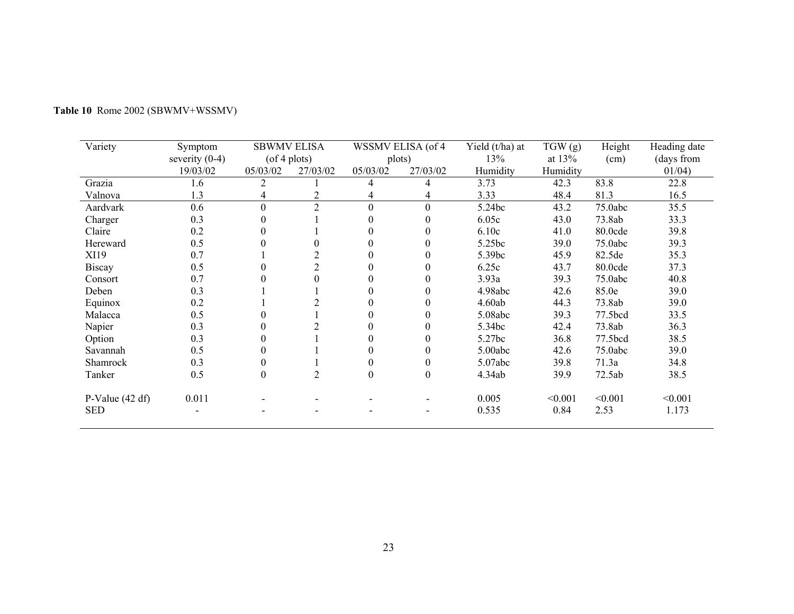| Variety           | Symptom<br>severity $(0-4)$ |                  | <b>SBWMV ELISA</b><br>$($ of 4 plots $)$ |                  | WSSMV ELISA (of 4<br>plots) | Yield (t/ha) at<br>13% | TGW(g)<br>at $13%$ | Height<br>(cm) | Heading date<br>(days from |
|-------------------|-----------------------------|------------------|------------------------------------------|------------------|-----------------------------|------------------------|--------------------|----------------|----------------------------|
|                   | 19/03/02                    | 05/03/02         | 27/03/02                                 | 05/03/02         | 27/03/02                    | Humidity               | Humidity           |                | 01/04)                     |
| Grazia            | 1.6                         | 2                |                                          | 4                | 4                           | 3.73                   | 42.3               | 83.8           | 22.8                       |
| Valnova           | 1.3                         |                  | 2                                        | 4                | 4                           | 3.33                   | 48.4               | 81.3           | 16.5                       |
| Aardvark          | 0.6                         | $\mathbf{0}$     | $\overline{2}$                           | $\overline{0}$   | $\overline{0}$              | 5.24bc                 | 43.2               | 75.0abc        | 35.5                       |
| Charger           | 0.3                         | $\theta$         |                                          | $\Omega$         | $\Omega$                    | 6.05c                  | 43.0               | 73.8ab         | 33.3                       |
| Claire            | 0.2                         | 0                |                                          | $\Omega$         |                             | 6.10c                  | 41.0               | 80.0cde        | 39.8                       |
| Hereward          | 0.5                         | 0                |                                          | 0                |                             | 5.25bc                 | 39.0               | 75.0abc        | 39.3                       |
| XI19              | 0.7                         |                  | $\overline{2}$                           |                  |                             | 5.39bc                 | 45.9               | 82.5de         | 35.3                       |
| <b>Biscay</b>     | 0.5                         | 0                | $\overline{2}$                           |                  |                             | 6.25c                  | 43.7               | 80.0cde        | 37.3                       |
| Consort           | 0.7                         |                  |                                          |                  |                             | 3.93a                  | 39.3               | 75.0abc        | 40.8                       |
| Deben             | 0.3                         |                  |                                          |                  |                             | 4.98abc                | 42.6               | 85.0e          | 39.0                       |
| Equinox           | 0.2                         |                  | 2                                        |                  |                             | 4.60ab                 | 44.3               | 73.8ab         | 39.0                       |
| Malacca           | 0.5                         |                  |                                          |                  |                             | 5.08abc                | 39.3               | 77.5bcd        | 33.5                       |
| Napier            | 0.3                         |                  | 2                                        |                  |                             | 5.34bc                 | 42.4               | 73.8ab         | 36.3                       |
| Option            | 0.3                         |                  |                                          |                  |                             | 5.27bc                 | 36.8               | 77.5bcd        | 38.5                       |
| Savannah          | 0.5                         | 0                |                                          |                  |                             | 5.00abc                | 42.6               | 75.0abc        | 39.0                       |
| Shamrock          | 0.3                         | 0                |                                          | $\theta$         |                             | 5.07abc                | 39.8               | 71.3a          | 34.8                       |
| Tanker            | 0.5                         | $\boldsymbol{0}$ | $\overline{2}$                           | $\boldsymbol{0}$ | $\theta$                    | 4.34ab                 | 39.9               | 72.5ab         | 38.5                       |
| P-Value $(42 df)$ | 0.011                       |                  |                                          |                  |                             | 0.005                  | < 0.001            | < 0.001        | < 0.001                    |
| <b>SED</b>        |                             |                  |                                          |                  |                             | 0.535                  | 0.84               | 2.53           | 1.173                      |

# **Table 10** Rome 2002 (SBWMV+WSSMV)